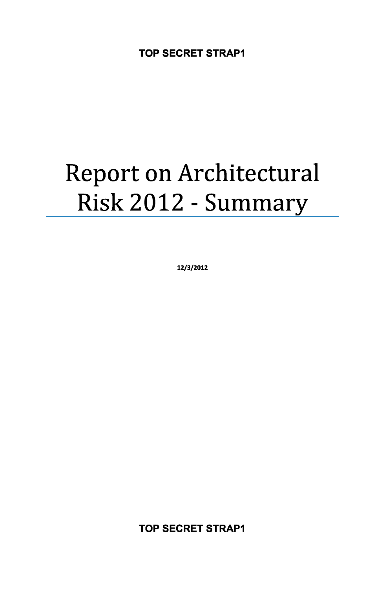# Report on Architectural Risk 2012 - Summary

**12/3/2012**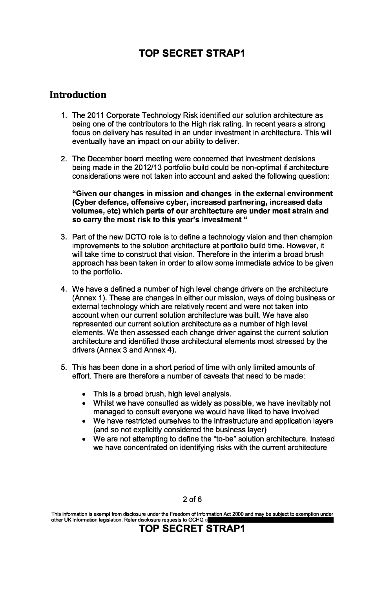#### **Introduction**

- 1. The 2011 Corporate Technology Risk identified our solution architecture as being one of the contributors to the High risk rating. In recent years a strong focus on delivery has resulted in an under investment in architecture. This will eventually have an impact on our ability to deliver.
- 2. The December board meeting were concerned that investment decisions being made in the 2012/13 portfolio build could be non-optimal if architecture considerations were not taken into account and asked the following question:

**"Given our changes in mission and changes in the external environment (Cyber defence, offensive cyber, increased partnering, increased data volumes, etc) which parts of our architecture are under most strain and so carry the most risk to this year's investment "** 

- 3. Part of the new DCTO role is to define a technology vision and then champion improvements to the solution architecture at portfolio build time. However, it will take time to construct that vision. Therefore in the interim a broad brush approach has been taken in order to allow some immediate advice to be given to the portfolio.
- 4. We have a defined a number of high level change drivers on the architecture (Annex 1). These are changes in either our mission, ways of doing business or external technology which are relatively recent and were not taken into account when our current solution architecture was built. We have also represented our current solution architecture as a number of high level elements. We then assessed each change driver against the current solution architecture and identified those architectural elements most stressed by the drivers (Annex 3 and Annex 4).
- 5. This has been done in a short period of time with only limited amounts of effort. There are therefore a number of caveats that need to be made:
	- This is a broad brush, high level analysis.
	- Whilst we have consulted as widely as possible, we have inevitably not managed to consult everyone we would have liked to have involved
	- We have restricted ourselves to the infrastructure and application layers (and so not explicitly considered the business layer)
	- We are not attempting to define the "to-be" solution architecture. Instead we have concentrated on identifying risks with the current architecture

#### 2 of 6

This information is exempt from disclosure under the Freedom of Information Act 2000 and may be subject to exemption under other UK Information legislation. Refer disclosure requests to GCHQ on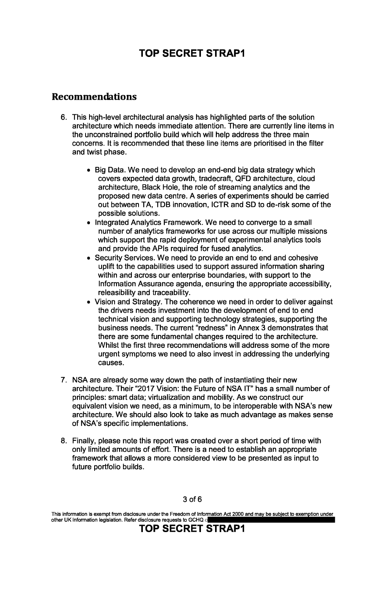#### **Recommendations**

- 6. This high-level architectural analysis has highlighted parts of the solution architecture which needs immediate attention. There are currently line items in the unconstrained portfolio build which will help address the three main concerns. It is recommended that these line items are prioritised in the filter and twist phase.
	- Big Data. We need to develop an end-end big data strategy which covers expected data growth, tradecraft, QFD architecture, cloud architecture, Black Hole, the role of streaming analytics and the proposed new data centre. A series of experiments should be carried out between TA, TDB innovation, ICTR and SD to de-risk some of the possible solutions.
	- Integrated Analytics Framework. We need to converge to a small number of analytics frameworks for use across our multiple missions which support the rapid deployment of experimental analytics tools and provide the APIs required for fused analytics.
	- Security Services. We need to provide an end to end and cohesive uplift to the capabilities used to support assured information sharing within and across our enterprise boundaries, with support to the Information Assurance agenda, ensuring the appropriate accessibility, releasibility and traceability.
	- Vision and Strategy. The coherence we need in order to deliver against the drivers needs investment into the development of end to end technical vision and supporting technology strategies, supporting the business needs. The current "redness" in Annex 3 demonstrates that there are some fundamental changes required to the architecture. Whilst the first three recommendations will address some of the more urgent symptoms we need to also invest in addressing the underlying causes.
- 7. NSA are already some way down the path of instantiating their new architecture. Their "2017 Vision: the Future of NSA IT" has a small number of principles: smart data; virtualization and mobility. As we construct our equivalent vision we need, as a minimum, to be interoperable with NSA's new architecture. We should also look to take as much advantage as makes sense of NSA's specific implementations.
- 8. Finally, please note this report was created over a short period of time with only limited amounts of effort. There is a need to establish an appropriate framework that allows a more considered view to be presented as input to future portfolio builds.

3 of 6

This information is exempt from disclosure under the Freedom of Information Act 2000 and may be subject to exemption under other UK Information legislation. Refer disclosure requests to GCHQ on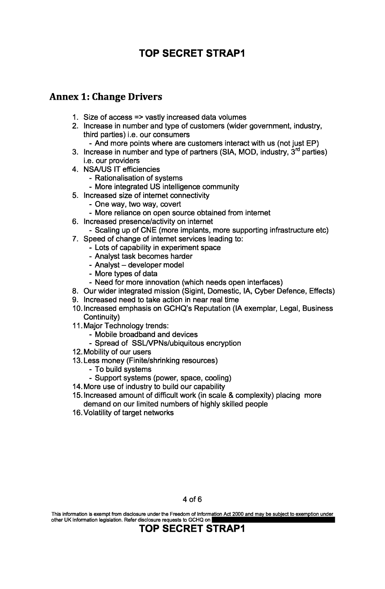#### **Annex 1: Change Drivers**

- 1. Size of access => vastly increased data volumes
- 2. Increase in number and type of customers (wider government, industry, third parties) i.e. our consumers
	- And more points where are customers interact with us (not just EP)
- 3. Increase in number and type of partners (SIA, MOD, industry,  $3<sup>rd</sup>$  parties) i.e. our providers
- 4. NSA/US IT efficiencies
	- Rationalisation of systems
	- More integrated US intelligence community
- 5. Increased size of internet connectivity
	- One way, two way, covert
	- More reliance on open source obtained from internet
- 6. Increased presence/activity on internet
- Scaling up of CNE (more implants, more supporting infrastructure etc)
- 7. Speed of change of internet services leading to:
	- Lots of capability in experiment space
	- Analyst task becomes harder
	- Analyst developer model
	- More types of data
	- Need for more innovation (which needs open interfaces)
- 8. Our wider integrated mission (Sigint, Domestic, IA, Cyber Defence, Effects)
- 9. Increased need to take action in near real time
- 10. Increased emphasis on GCHQ's Reputation (IA exemplar, Legal, Business Continuity)
- 11. Major Technology trends:
	- Mobile broadband and devices
	- Spread of SSL/VPNs/ubiquitous encryption
- 12. Mobility of our users
- 13. Less money (Finite/shrinking resources)
	- To build systems
	- Support systems (power, space, cooling)
- 14. More use of industry to build our capability
- 15. Increased amount of difficult work (in scale & complexity) placing more demand on our limited numbers of highly skilled people
- 16. Volatility of target networks

This information is exempt from disclosure under the Freedom of Information Act 2000 and may be subject to exemption under other UK Information legislation. Refer disclosure requests to GCHQ on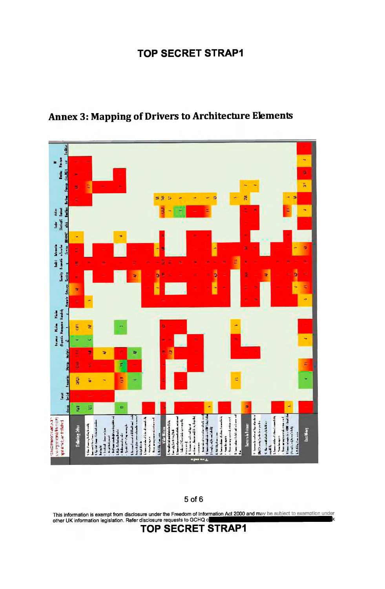

## **Annex 3: Mapping of Drivers to Architecture Elements**

5 of 6

This information is exempt from disclosure under the Freedom of Infor<u>mation Act 2000 and ma</u> other UK information legislation. Refer disclosure requests to GCHQ  $\circ$  H  $\bullet$  H  $\bullet$  H  $\bullet$  H  $\bullet$  H  $\bullet$  H  $\bullet$  H  $\bullet$  H  $\bullet$  H  $\bullet$  H  $\bullet$  H  $\bullet$  H  $\bullet$  H  $\bullet$  H  $\bullet$  H  $\bullet$  H  $\bullet$  H  $\bullet$  H  $\bullet$  H  $\bullet$  H  $\bullet$  H  $\bullet$  H